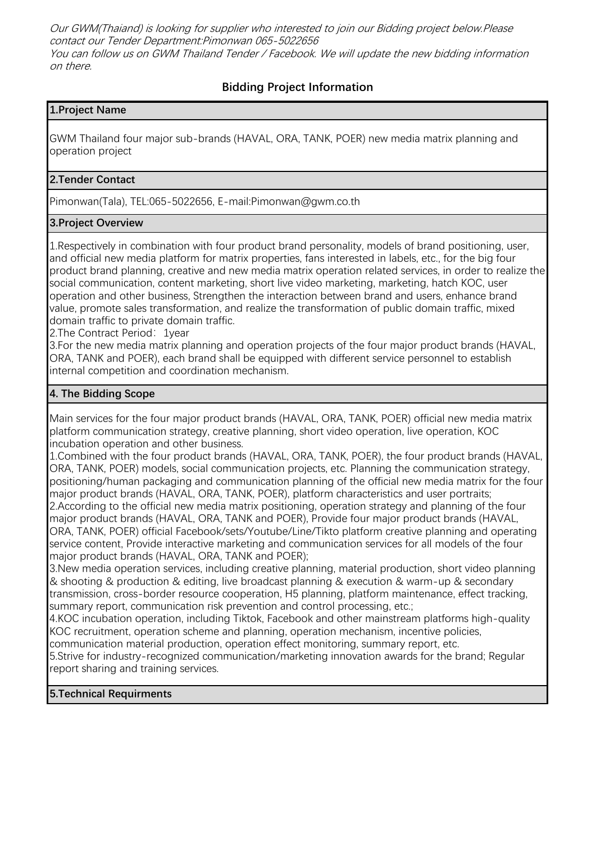Our GWM(Thaiand) is looking for supplier who interested to join our Bidding project below.Please contact our Tender Department:Pimonwan 065-5022656 You can follow us on GWM Thailand Tender / Facebook. We will update the new bidding information on there.

# **Bidding Project Information**

## **1.Project Name**

GWM Thailand four major sub-brands (HAVAL, ORA, TANK, POER) new media matrix planning and operation project

## **2.Tender Contact**

Pimonwan(Tala), TEL:065-5022656, E-mail:Pimonwan@gwm.co.th

## **3.Project Overview**

1.Respectively in combination with four product brand personality, models of brand positioning, user, and official new media platform for matrix properties, fans interested in labels, etc., for the big four product brand planning, creative and new media matrix operation related services, in order to realize the social communication, content marketing, short live video marketing, marketing, hatch KOC, user operation and other business, Strengthen the interaction between brand and users, enhance brand value, promote sales transformation, and realize the transformation of public domain traffic, mixed domain traffic to private domain traffic.

2. The Contract Period: 1year

3.For the new media matrix planning and operation projects of the four major product brands (HAVAL, ORA, TANK and POER), each brand shall be equipped with different service personnel to establish internal competition and coordination mechanism.

### **4. The Bidding Scope**

Main services for the four major product brands (HAVAL, ORA, TANK, POER) official new media matrix platform communication strategy, creative planning, short video operation, live operation, KOC incubation operation and other business.

1.Combined with the four product brands (HAVAL, ORA, TANK, POER), the four product brands (HAVAL, ORA, TANK, POER) models, social communication projects, etc. Planning the communication strategy, positioning/human packaging and communication planning of the official new media matrix for the four major product brands (HAVAL, ORA, TANK, POER), platform characteristics and user portraits; 2.According to the official new media matrix positioning, operation strategy and planning of the four major product brands (HAVAL, ORA, TANK and POER), Provide four major product brands (HAVAL, ORA, TANK, POER) official Facebook/sets/Youtube/Line/Tikto platform creative planning and operating service content, Provide interactive marketing and communication services for all models of the four major product brands (HAVAL, ORA, TANK and POER);

3.New media operation services, including creative planning, material production, short video planning & shooting & production & editing, live broadcast planning & execution & warm-up & secondary transmission, cross-border resource cooperation, H5 planning, platform maintenance, effect tracking, summary report, communication risk prevention and control processing, etc.;

4.KOC incubation operation, including Tiktok, Facebook and other mainstream platforms high-quality KOC recruitment, operation scheme and planning, operation mechanism, incentive policies, communication material production, operation effect monitoring, summary report, etc.

5.Strive for industry-recognized communication/marketing innovation awards for the brand; Regular report sharing and training services.

### **5.Technical Requirments**